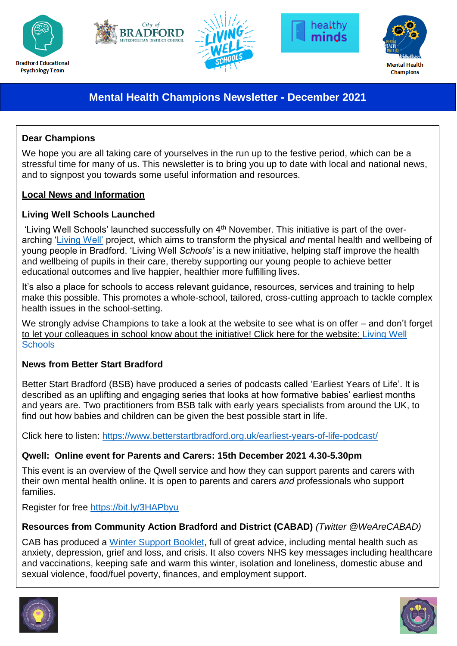









# **Mental Health Champions Newsletter - December 2021**

## **Dear Champions**

We hope you are all taking care of yourselves in the run up to the festive period, which can be a stressful time for many of us. This newsletter is to bring you up to date with local and national news, and to signpost you towards some useful information and resources.

### **Local News and Information**

## **Living Well Schools Launched**

'Living Well Schools' launched successfully on 4<sup>th</sup> November. This initiative is part of the overarching ['Living Well'](https://mylivingwell.co.uk/) project, which aims to transform the physical *and* mental health and wellbeing of young people in Bradford. 'Living Well *Schools'* is a new initiative, helping staff improve the health and wellbeing of pupils in their care, thereby supporting our young people to achieve better educational outcomes and live happier, healthier more fulfilling lives.

It's also a place for schools to access relevant guidance, resources, services and training to help make this possible. This promotes a whole-school, tailored, cross-cutting approach to tackle complex health issues in the school-setting.

We strongly advise Champions to take a look at the website to see what is on offer – and don't forget to let your colleagues in school know about the initiative! Click here for the website: [Living Well](https://schools.mylivingwell.co.uk/)  **[Schools](https://schools.mylivingwell.co.uk/)** 

# **News from Better Start Bradford**

Better Start Bradford (BSB) have produced a series of podcasts called 'Earliest Years of Life'. It is described as an uplifting and engaging series that looks at how formative babies' earliest months and years are. Two practitioners from BSB talk with early years specialists from around the UK, to find out how babies and children can be given the best possible start in life.

Click here to listen:<https://www.betterstartbradford.org.uk/earliest-years-of-life-podcast/>

# **Qwell: Online event for Parents and Carers: 15th December 2021 4.30-5.30pm**

This event is an overview of the Qwell service and how they can support parents and carers with their own mental health online. It is open to parents and carers *and* professionals who support families.

Register for free <https://bit.ly/3HAPbyu>

Click on the hyperlink or download a copy [here.](https://681caa24-5d92-4161-8aa4-ca91077bfee3.filesusr.com/ugd/abfa07_4e63506d460946d3be4d1b8380925cab.pdf)

### **Resources from Community Action Bradford and District (CABAD)** *(Twitter @WeAreCABAD)*

CAB has produced a [Winter Support Booklet,](https://www.cabad.org.uk/winterbooklet) full of great advice, including mental health such as anxiety, depression, grief and loss, and crisis. It also covers NHS key messages including healthcare and vaccinations, keeping safe and warm this winter, isolation and loneliness, domestic abuse and sexual violence, food/fuel poverty, finances, and employment support.



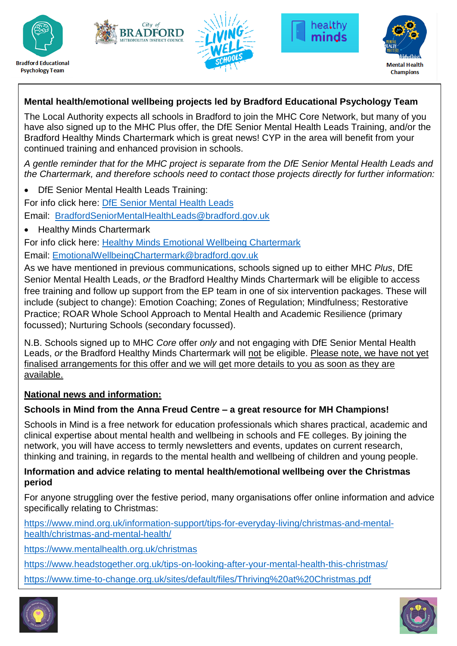









# **Mental health/emotional wellbeing projects led by Bradford Educational Psychology Team**

The Local Authority expects all schools in Bradford to join the MHC Core Network, but many of you have also signed up to the MHC Plus offer, the DfE Senior Mental Health Leads Training, and/or the Bradford Healthy Minds Chartermark which is great news! CYP in the area will benefit from your continued training and enhanced provision in schools.

*A gentle reminder that for the MHC project is separate from the DfE Senior Mental Health Leads and the Chartermark, and therefore schools need to contact those projects directly for further information:*

DfE Senior Mental Health Leads Training:

For info click here: [DfE Senior Mental Health Leads](https://bso.bradford.gov.uk/content/bradford-dfe-accredited-mental-health-leads-training)

Email: [BradfordSeniorMentalHealthLeads@bradford.gov.uk](mailto:BradfordSeniorMentalHealthLeads@bradford.gov.uk)

• Healthy Minds Chartermark

For info click here: [Healthy Minds Emotional Wellbeing Chartermark](https://bso.bradford.gov.uk/content/bradford-healthy-minds-chartermark) Email: [EmotionalWellbeingChartermark@bradford.gov.uk](mailto:EmotionalWellbeingChartermark@bradford.gov.uk)

As we have mentioned in previous communications, schools signed up to either MHC *Plus*, DfE Senior Mental Health Leads, *or* the Bradford Healthy Minds Chartermark will be eligible to access free training and follow up support from the EP team in one of six intervention packages. These will include (subject to change): Emotion Coaching; Zones of Regulation; Mindfulness; Restorative Practice; ROAR Whole School Approach to Mental Health and Academic Resilience (primary focussed); Nurturing Schools (secondary focussed).

N.B. Schools signed up to MHC *Core* offer *only* and not engaging with DfE Senior Mental Health Leads, *or* the Bradford Healthy Minds Chartermark will not be eligible. Please note, we have not yet finalised arrangements for this offer and we will get more details to you as soon as they are available.

### **National news and information:**

# **Schools in Mind from the Anna Freud Centre – a great resource for MH Champions!**

Schools in Mind is a free network for education professionals which shares practical, academic and clinical expertise about mental health and wellbeing in schools and FE colleges. By joining the network, you will have access to termly newsletters and events, updates on current research, thinking and training, in regards to the mental health and wellbeing of children and young people.

#### **Information and advice relating to mental health/emotional wellbeing over the Christmas period**

For anyone struggling over the festive period, many organisations offer online information and advice specifically relating to Christmas:

[https://www.mind.org.uk/information-support/tips-for-everyday-living/christmas-and-mental](https://www.mind.org.uk/information-support/tips-for-everyday-living/christmas-and-mental-health/christmas-and-mental-health/)[health/christmas-and-mental-health/](https://www.mind.org.uk/information-support/tips-for-everyday-living/christmas-and-mental-health/christmas-and-mental-health/)

<https://www.mentalhealth.org.uk/christmas>

<https://www.headstogether.org.uk/tips-on-looking-after-your-mental-health-this-christmas/>

<https://www.time-to-change.org.uk/sites/default/files/Thriving%20at%20Christmas.pdf>